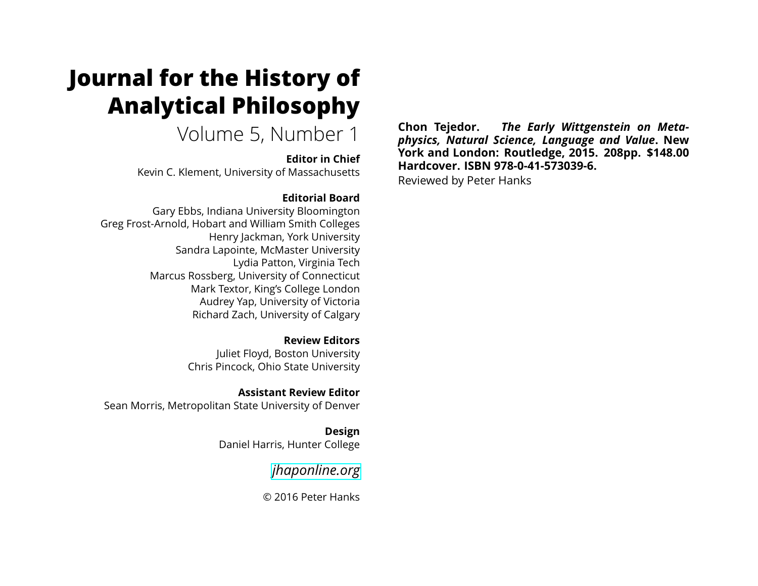# **Journal for the History of Analytical Philosophy**

Volume 5, Number 1

**Editor in Chief** Kevin C. Klement, University of Massachusetts

### **Editorial Board**

Gary Ebbs, Indiana University Bloomington Greg Frost-Arnold, Hobart and William Smith Colleges Henry Jackman, York University Sandra Lapointe, McMaster University Lydia Patton, Virginia Tech Marcus Rossberg, University of Connecticut Mark Textor, King's College London Audrey Yap, University of Victoria Richard Zach, University of Calgary

> **Review Editors** Juliet Floyd, Boston University Chris Pincock, Ohio State University

**Assistant Review Editor** Sean Morris, Metropolitan State University of Denver

> **Design** Daniel Harris, Hunter College

> > *[jhaponline.org](https://jhaponline.org)*

© 2016 Peter Hanks

**Chon Tejedor.** *The Early Wittgenstein on Metaphysics, Natural Science, Language and Value***. New York and London: Routledge, 2015. 208pp. \$148.00 Hardcover. ISBN 978-0-41-573039-6.**

Reviewed by Peter Hanks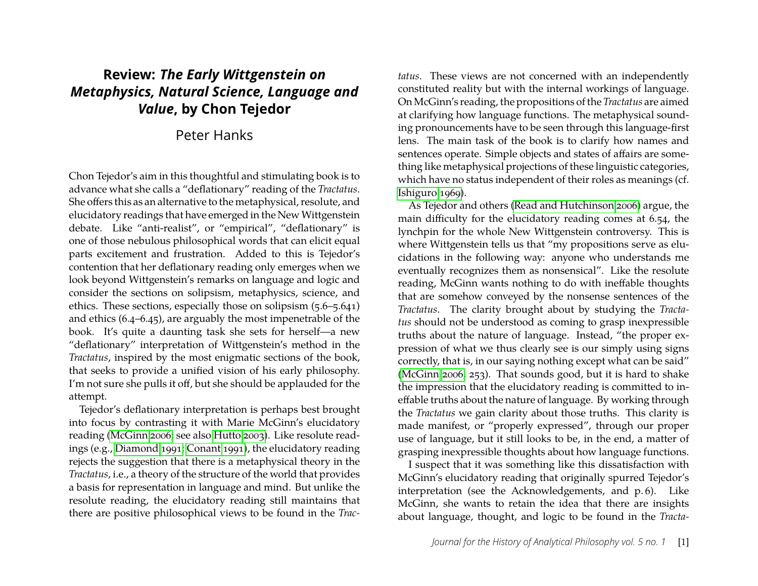## **Review:** *The Early Wittgenstein on Metaphysics, Natural Science, Language and Value***, by Chon Tejedor**

## Peter Hanks

Chon Tejedor's aim in this thoughtful and stimulating book is to advance what she calls a "deflationary" reading of the *Tractatus*. She offers this as an alternative to the metaphysical, resolute, and elucidatory readings that have emerged in the New Wittgenstein debate. Like "anti-realist", or "empirical", "deflationary" is one of those nebulous philosophical words that can elicit equal parts excitement and frustration. Added to this is Tejedor's contention that her deflationary reading only emerges when we look beyond Wittgenstein's remarks on language and logic and consider the sections on solipsism, metaphysics, science, and ethics. These sections, especially those on solipsism (5.6–5.641) and ethics (6.4–6.45), are arguably the most impenetrable of the book. It's quite a daunting task she sets for herself—a new "deflationary" interpretation of Wittgenstein's method in the *Tractatus*, inspired by the most enigmatic sections of the book, that seeks to provide a unified vision of his early philosophy. I'm not sure she pulls it off, but she should be applauded for the attempt.

Tejedor's deflationary interpretation is perhaps best brought into focus by contrasting it with Marie McGinn's elucidatory reading [\(McGinn 2006;](#page-5-0) see also [Hutto 2003\)](#page-5-1). Like resolute readings (e.g., [Diamond 1991;](#page-5-2) [Conant 1991\)](#page-5-3), the elucidatory reading rejects the suggestion that there is a metaphysical theory in the *Tractatus*, i.e., a theory of the structure of the world that provides a basis for representation in language and mind. But unlike the resolute reading, the elucidatory reading still maintains that there are positive philosophical views to be found in the *Trac-*

*tatus*. These views are not concerned with an independently constituted reality but with the internal workings of language. OnMcGinn's reading, the propositions of the *Tractatus* are aimed at clarifying how language functions. The metaphysical sounding pronouncements have to be seen through this language-first lens. The main task of the book is to clarify how names and sentences operate. Simple objects and states of affairs are something like metaphysical projections of these linguistic categories, which have no status independent of their roles as meanings (cf. [Ishiguro 1969\)](#page-5-4).

As Tejedor and others [\(Read and Hutchinson 2006\)](#page-5-5) argue, the main difficulty for the elucidatory reading comes at 6.54, the lynchpin for the whole New Wittgenstein controversy. This is where Wittgenstein tells us that "my propositions serve as elucidations in the following way: anyone who understands me eventually recognizes them as nonsensical". Like the resolute reading, McGinn wants nothing to do with ineffable thoughts that are somehow conveyed by the nonsense sentences of the *Tractatus*. The clarity brought about by studying the *Tractatus* should not be understood as coming to grasp inexpressible truths about the nature of language. Instead, "the proper expression of what we thus clearly see is our simply using signs correctly, that is, in our saying nothing except what can be said" [\(McGinn 2006,](#page-5-0) 253). That sounds good, but it is hard to shake the impression that the elucidatory reading is committed to ineffable truths about the nature of language. By working through the *Tractatus* we gain clarity about those truths. This clarity is made manifest, or "properly expressed", through our proper use of language, but it still looks to be, in the end, a matter of grasping inexpressible thoughts about how language functions.

I suspect that it was something like this dissatisfaction with McGinn's elucidatory reading that originally spurred Tejedor's interpretation (see the Acknowledgements, and p. 6). Like McGinn, she wants to retain the idea that there are insights about language, thought, and logic to be found in the *Tracta-*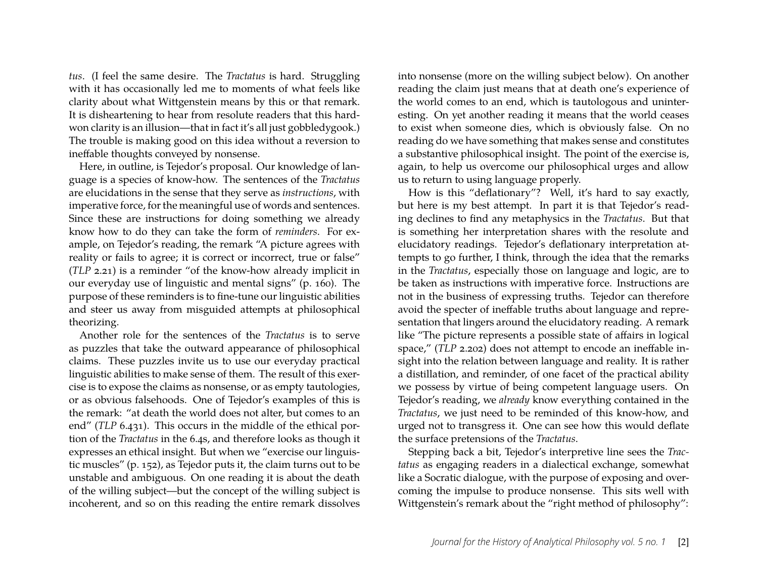*tus*. (I feel the same desire. The *Tractatus* is hard. Struggling with it has occasionally led me to moments of what feels like clarity about what Wittgenstein means by this or that remark. It is disheartening to hear from resolute readers that this hardwon clarity is an illusion—that in fact it's all just gobbledygook.) The trouble is making good on this idea without a reversion to ineffable thoughts conveyed by nonsense.

Here, in outline, is Tejedor's proposal. Our knowledge of language is a species of know-how. The sentences of the *Tractatus* are elucidations in the sense that they serve as *instructions*, with imperative force, for the meaningful use of words and sentences. Since these are instructions for doing something we already know how to do they can take the form of *reminders*. For example, on Tejedor's reading, the remark "A picture agrees with reality or fails to agree; it is correct or incorrect, true or false" (*TLP* 2.21) is a reminder "of the know-how already implicit in our everyday use of linguistic and mental signs" (p. 160). The purpose of these reminders is to fine-tune our linguistic abilities and steer us away from misguided attempts at philosophical theorizing.

Another role for the sentences of the *Tractatus* is to serve as puzzles that take the outward appearance of philosophical claims. These puzzles invite us to use our everyday practical linguistic abilities to make sense of them. The result of this exercise is to expose the claims as nonsense, or as empty tautologies, or as obvious falsehoods. One of Tejedor's examples of this is the remark: "at death the world does not alter, but comes to an end" (*TLP* 6.431). This occurs in the middle of the ethical portion of the *Tractatus* in the 6.4s, and therefore looks as though it expresses an ethical insight. But when we "exercise our linguistic muscles" (p. 152), as Tejedor puts it, the claim turns out to be unstable and ambiguous. On one reading it is about the death of the willing subject—but the concept of the willing subject is incoherent, and so on this reading the entire remark dissolves

into nonsense (more on the willing subject below). On another reading the claim just means that at death one's experience of the world comes to an end, which is tautologous and uninteresting. On yet another reading it means that the world ceases to exist when someone dies, which is obviously false. On no reading do we have something that makes sense and constitutes a substantive philosophical insight. The point of the exercise is, again, to help us overcome our philosophical urges and allow us to return to using language properly.

How is this "deflationary"? Well, it's hard to say exactly, but here is my best attempt. In part it is that Tejedor's reading declines to find any metaphysics in the *Tractatus*. But that is something her interpretation shares with the resolute and elucidatory readings. Tejedor's deflationary interpretation attempts to go further, I think, through the idea that the remarks in the *Tractatus*, especially those on language and logic, are to be taken as instructions with imperative force. Instructions are not in the business of expressing truths. Tejedor can therefore avoid the specter of ineffable truths about language and representation that lingers around the elucidatory reading. A remark like "The picture represents a possible state of affairs in logical space," (*TLP* 2.202) does not attempt to encode an ineffable insight into the relation between language and reality. It is rather a distillation, and reminder, of one facet of the practical ability we possess by virtue of being competent language users. On Tejedor's reading, we *already* know everything contained in the *Tractatus*, we just need to be reminded of this know-how, and urged not to transgress it. One can see how this would deflate the surface pretensions of the *Tractatus*.

Stepping back a bit, Tejedor's interpretive line sees the *Tractatus* as engaging readers in a dialectical exchange, somewhat like a Socratic dialogue, with the purpose of exposing and overcoming the impulse to produce nonsense. This sits well with Wittgenstein's remark about the "right method of philosophy":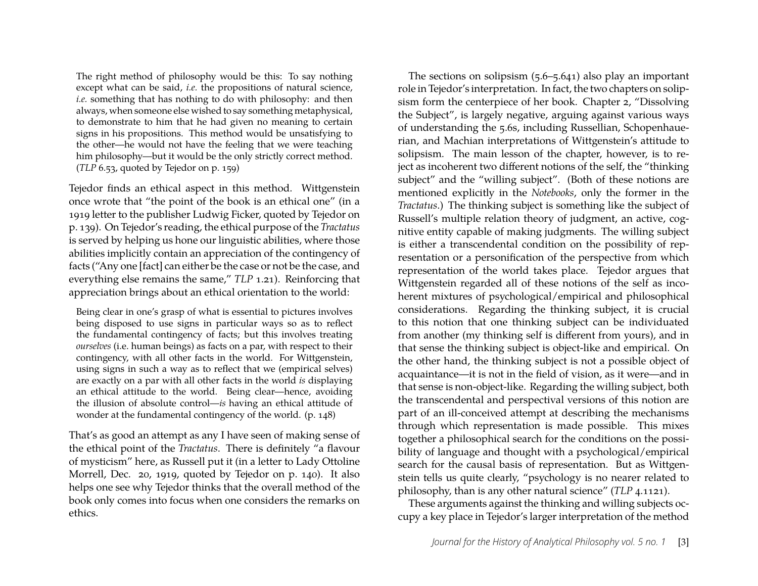The right method of philosophy would be this: To say nothing except what can be said, *i.e.* the propositions of natural science, *i.e.* something that has nothing to do with philosophy: and then always, when someone else wished to say something metaphysical, to demonstrate to him that he had given no meaning to certain signs in his propositions. This method would be unsatisfying to the other—he would not have the feeling that we were teaching him philosophy—but it would be the only strictly correct method. (*TLP* 6.53, quoted by Tejedor on p. 159)

Tejedor finds an ethical aspect in this method. Wittgenstein once wrote that "the point of the book is an ethical one" (in a 1919 letter to the publisher Ludwig Ficker, quoted by Tejedor on p. 139). On Tejedor's reading, the ethical purpose of the *Tractatus* is served by helping us hone our linguistic abilities, where those abilities implicitly contain an appreciation of the contingency of facts ("Any one [fact] can either be the case or not be the case, and everything else remains the same," *TLP* 1.21). Reinforcing that appreciation brings about an ethical orientation to the world:

Being clear in one's grasp of what is essential to pictures involves being disposed to use signs in particular ways so as to reflect the fundamental contingency of facts; but this involves treating *ourselves* (i.e. human beings) as facts on a par, with respect to their contingency, with all other facts in the world. For Wittgenstein, using signs in such a way as to reflect that we (empirical selves) are exactly on a par with all other facts in the world *is* displaying an ethical attitude to the world. Being clear—hence, avoiding the illusion of absolute control—*is* having an ethical attitude of wonder at the fundamental contingency of the world. (p. 148)

That's as good an attempt as any I have seen of making sense of the ethical point of the *Tractatus*. There is definitely "a flavour of mysticism" here, as Russell put it (in a letter to Lady Ottoline Morrell, Dec. 20, 1919, quoted by Tejedor on p. 140). It also helps one see why Tejedor thinks that the overall method of the book only comes into focus when one considers the remarks on ethics.

The sections on solipsism (5.6–5.641) also play an important role in Tejedor's interpretation. In fact, the two chapters on solipsism form the centerpiece of her book. Chapter 2, "Dissolving the Subject", is largely negative, arguing against various ways of understanding the 5.6s, including Russellian, Schopenhauerian, and Machian interpretations of Wittgenstein's attitude to solipsism. The main lesson of the chapter, however, is to reject as incoherent two different notions of the self, the "thinking subject" and the "willing subject". (Both of these notions are mentioned explicitly in the *Notebooks*, only the former in the *Tractatus*.) The thinking subject is something like the subject of Russell's multiple relation theory of judgment, an active, cognitive entity capable of making judgments. The willing subject is either a transcendental condition on the possibility of representation or a personification of the perspective from which representation of the world takes place. Tejedor argues that Wittgenstein regarded all of these notions of the self as incoherent mixtures of psychological/empirical and philosophical considerations. Regarding the thinking subject, it is crucial to this notion that one thinking subject can be individuated from another (my thinking self is different from yours), and in that sense the thinking subject is object-like and empirical. On the other hand, the thinking subject is not a possible object of acquaintance—it is not in the field of vision, as it were—and in that sense is non-object-like. Regarding the willing subject, both the transcendental and perspectival versions of this notion are part of an ill-conceived attempt at describing the mechanisms through which representation is made possible. This mixes together a philosophical search for the conditions on the possibility of language and thought with a psychological/empirical search for the causal basis of representation. But as Wittgenstein tells us quite clearly, "psychology is no nearer related to philosophy, than is any other natural science" (*TLP* 4.1121).

These arguments against the thinking and willing subjects occupy a key place in Tejedor's larger interpretation of the method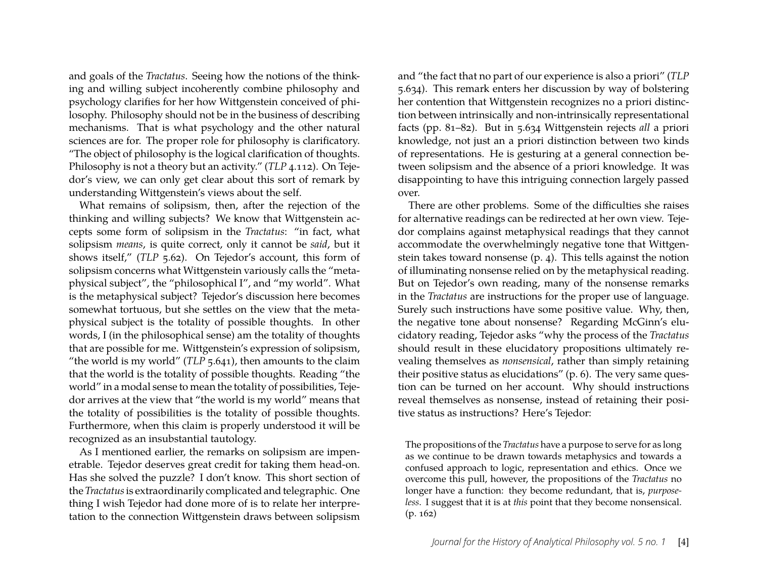and goals of the *Tractatus*. Seeing how the notions of the thinking and willing subject incoherently combine philosophy and psychology clarifies for her how Wittgenstein conceived of philosophy. Philosophy should not be in the business of describing mechanisms. That is what psychology and the other natural sciences are for. The proper role for philosophy is clarificatory. "The object of philosophy is the logical clarification of thoughts. Philosophy is not a theory but an activity." (*TLP* 4.112). On Tejedor's view, we can only get clear about this sort of remark by understanding Wittgenstein's views about the self.

What remains of solipsism, then, after the rejection of the thinking and willing subjects? We know that Wittgenstein accepts some form of solipsism in the *Tractatus*: "in fact, what solipsism *means*, is quite correct, only it cannot be *said*, but it shows itself," (*TLP* 5.62). On Tejedor's account, this form of solipsism concerns what Wittgenstein variously calls the "metaphysical subject", the "philosophical I", and "my world". What is the metaphysical subject? Tejedor's discussion here becomes somewhat tortuous, but she settles on the view that the metaphysical subject is the totality of possible thoughts. In other words, I (in the philosophical sense) am the totality of thoughts that are possible for me. Wittgenstein's expression of solipsism, "the world is my world" (*TLP* 5.641), then amounts to the claim that the world is the totality of possible thoughts. Reading "the world" in a modal sense to mean the totality of possibilities, Tejedor arrives at the view that "the world is my world" means that the totality of possibilities is the totality of possible thoughts. Furthermore, when this claim is properly understood it will be recognized as an insubstantial tautology.

As I mentioned earlier, the remarks on solipsism are impenetrable. Tejedor deserves great credit for taking them head-on. Has she solved the puzzle? I don't know. This short section of the *Tractatus*is extraordinarily complicated and telegraphic. One thing I wish Tejedor had done more of is to relate her interpretation to the connection Wittgenstein draws between solipsism

and "the fact that no part of our experience is also a priori" (*TLP* 5.634). This remark enters her discussion by way of bolstering her contention that Wittgenstein recognizes no a priori distinction between intrinsically and non-intrinsically representational facts (pp. 81–82). But in 5.634 Wittgenstein rejects *all* a priori knowledge, not just an a priori distinction between two kinds of representations. He is gesturing at a general connection between solipsism and the absence of a priori knowledge. It was disappointing to have this intriguing connection largely passed over.

There are other problems. Some of the difficulties she raises for alternative readings can be redirected at her own view. Tejedor complains against metaphysical readings that they cannot accommodate the overwhelmingly negative tone that Wittgenstein takes toward nonsense (p. 4). This tells against the notion of illuminating nonsense relied on by the metaphysical reading. But on Tejedor's own reading, many of the nonsense remarks in the *Tractatus* are instructions for the proper use of language. Surely such instructions have some positive value. Why, then, the negative tone about nonsense? Regarding McGinn's elucidatory reading, Tejedor asks "why the process of the *Tractatus* should result in these elucidatory propositions ultimately revealing themselves as *nonsensical*, rather than simply retaining their positive status as elucidations" (p. 6). The very same question can be turned on her account. Why should instructions reveal themselves as nonsense, instead of retaining their positive status as instructions? Here's Tejedor:

The propositions of the *Tractatus* have a purpose to serve for as long as we continue to be drawn towards metaphysics and towards a confused approach to logic, representation and ethics. Once we overcome this pull, however, the propositions of the *Tractatus* no longer have a function: they become redundant, that is, *purposeless*. I suggest that it is at *this* point that they become nonsensical.  $(p. 162)$